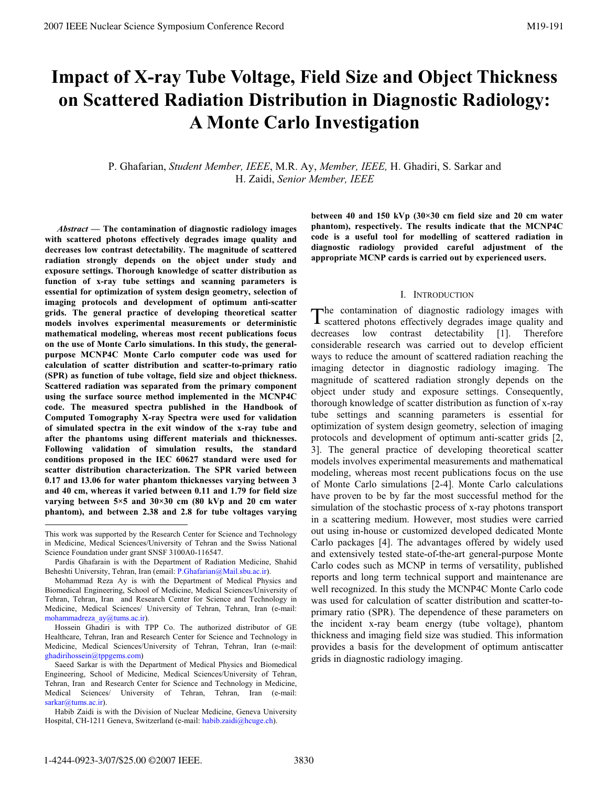# **Impact of X-ray Tube Voltage, Field Size and Object Thickness on Scattered Radiation Distribution in Diagnostic Radiology: A Monte Carlo Investigation**

P. Ghafarian, *Student Member, IEEE*, M.R. Ay, *Member, IEEE,* H. Ghadiri, S. Sarkar and H. Zaidi, *Senior Member, IEEE*

*Abstract —* **The contamination of diagnostic radiology images with scattered photons effectively degrades image quality and decreases low contrast detectability. The magnitude of scattered radiation strongly depends on the object under study and exposure settings. Thorough knowledge of scatter distribution as function of x-ray tube settings and scanning parameters is essential for optimization of system design geometry, selection of imaging protocols and development of optimum anti-scatter grids. The general practice of developing theoretical scatter models involves experimental measurements or deterministic mathematical modeling, whereas most recent publications focus on the use of Monte Carlo simulations. In this study, the generalpurpose MCNP4C Monte Carlo computer code was used for calculation of scatter distribution and scatter-to-primary ratio (SPR) as function of tube voltage, field size and object thickness. Scattered radiation was separated from the primary component using the surface source method implemented in the MCNP4C code. The measured spectra published in the Handbook of Computed Tomography X-ray Spectra were used for validation of simulated spectra in the exit window of the x-ray tube and after the phantoms using different materials and thicknesses. Following validation of simulation results, the standard conditions proposed in the IEC 60627 standard were used for scatter distribution characterization. The SPR varied between 0.17 and 13.06 for water phantom thicknesses varying between 3 and 40 cm, whereas it varied between 0.11 and 1.79 for field size varying between 5×5 and 30×30 cm (80 kVp and 20 cm water phantom), and between 2.38 and 2.8 for tube voltages varying**  **between 40 and 150 kVp (30×30 cm field size and 20 cm water phantom), respectively. The results indicate that the MCNP4C code is a useful tool for modelling of scattered radiation in diagnostic radiology provided careful adjustment of the appropriate MCNP cards is carried out by experienced users.** 

## I. INTRODUCTION

he contamination of diagnostic radiology images with The contamination of diagnostic radiology images with scattered photons effectively degrades image quality and decreases low contrast detectability [1]. Therefore considerable research was carried out to develop efficient ways to reduce the amount of scattered radiation reaching the imaging detector in diagnostic radiology imaging. The magnitude of scattered radiation strongly depends on the object under study and exposure settings. Consequently, thorough knowledge of scatter distribution as function of x-ray tube settings and scanning parameters is essential for optimization of system design geometry, selection of imaging protocols and development of optimum anti-scatter grids [2, 3]. The general practice of developing theoretical scatter models involves experimental measurements and mathematical modeling, whereas most recent publications focus on the use of Monte Carlo simulations [2-4]. Monte Carlo calculations have proven to be by far the most successful method for the simulation of the stochastic process of x-ray photons transport in a scattering medium. However, most studies were carried out using in-house or customized developed dedicated Monte Carlo packages [4]. The advantages offered by widely used and extensively tested state-of-the-art general-purpose Monte Carlo codes such as MCNP in terms of versatility, published reports and long term technical support and maintenance are well recognized. In this study the MCNP4C Monte Carlo code was used for calculation of scatter distribution and scatter-toprimary ratio (SPR). The dependence of these parameters on the incident x-ray beam energy (tube voltage), phantom thickness and imaging field size was studied. This information provides a basis for the development of optimum antiscatter grids in diagnostic radiology imaging.

 $\overline{a}$ 

This work was supported by the Research Center for Science and Technology in Medicine, Medical Sciences/University of Tehran and the Swiss National Science Foundation under grant SNSF 3100A0-116547.

Pardis Ghafarain is with the Department of Radiation Medicine, Shahid Beheshti University, Tehran, Iran (email: P.Ghafarian@Mail.sbu.ac.ir).

Mohammad Reza Ay is with the Department of Medical Physics and Biomedical Engineering, School of Medicine, Medical Sciences/University of Tehran, Tehran, Iran and Research Center for Science and Technology in Medicine, Medical Sciences/ University of Tehran, Tehran, Iran (e-mail: mohammadreza\_ay@tums.ac.ir).

Hossein Ghadiri is with TPP Co. The authorized distributor of GE Healthcare, Tehran, Iran and Research Center for Science and Technology in Medicine, Medical Sciences/University of Tehran, Tehran, Iran (e-mail: ghadirihossein@tppgems.com)

Saeed Sarkar is with the Department of Medical Physics and Biomedical Engineering, School of Medicine, Medical Sciences/University of Tehran, Tehran, Iran and Research Center for Science and Technology in Medicine, Medical Sciences/ University of Tehran, Tehran, Iran (e-mail: sarkar@tums.ac.ir).

Habib Zaidi is with the Division of Nuclear Medicine, Geneva University Hospital, CH-1211 Geneva, Switzerland (e-mail: habib.zaidi@hcuge.ch).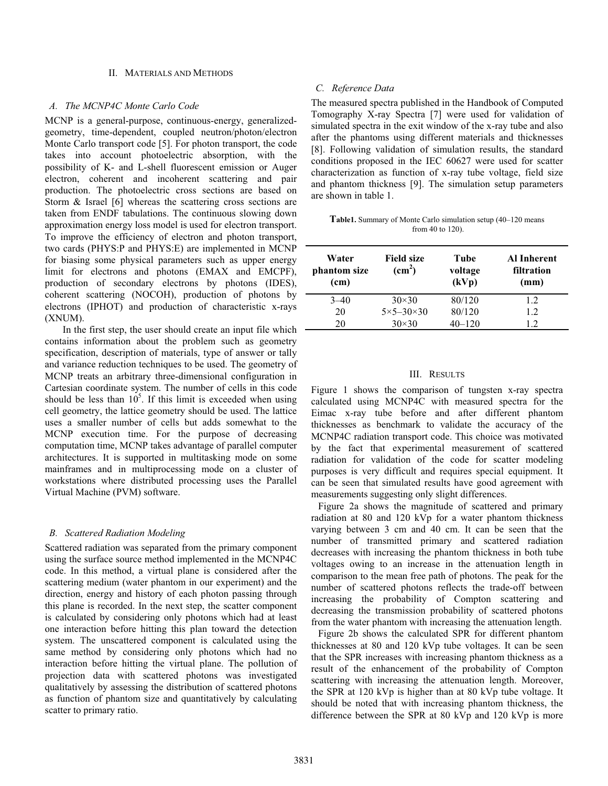## II. MATERIALS AND METHODS

## *A. The MCNP4C Monte Carlo Code*

MCNP is a general-purpose, continuous-energy, generalizedgeometry, time-dependent, coupled neutron/photon/electron Monte Carlo transport code [5]. For photon transport, the code takes into account photoelectric absorption, with the possibility of K- and L-shell fluorescent emission or Auger electron, coherent and incoherent scattering and pair production. The photoelectric cross sections are based on Storm & Israel [6] whereas the scattering cross sections are taken from ENDF tabulations. The continuous slowing down approximation energy loss model is used for electron transport. To improve the efficiency of electron and photon transport, two cards (PHYS:P and PHYS:E) are implemented in MCNP for biasing some physical parameters such as upper energy limit for electrons and photons (EMAX and EMCPF), production of secondary electrons by photons (IDES), coherent scattering (NOCOH), production of photons by electrons (IPHOT) and production of characteristic x-rays (XNUM).

In the first step, the user should create an input file which contains information about the problem such as geometry specification, description of materials, type of answer or tally and variance reduction techniques to be used. The geometry of MCNP treats an arbitrary three-dimensional configuration in Cartesian coordinate system. The number of cells in this code should be less than  $10^5$ . If this limit is exceeded when using cell geometry, the lattice geometry should be used. The lattice uses a smaller number of cells but adds somewhat to the MCNP execution time. For the purpose of decreasing computation time, MCNP takes advantage of parallel computer architectures. It is supported in multitasking mode on some mainframes and in multiprocessing mode on a cluster of workstations where distributed processing uses the Parallel Virtual Machine (PVM) software.

## *B. Scattered Radiation Modeling*

Scattered radiation was separated from the primary component using the surface source method implemented in the MCNP4C code. In this method, a virtual plane is considered after the scattering medium (water phantom in our experiment) and the direction, energy and history of each photon passing through this plane is recorded. In the next step, the scatter component is calculated by considering only photons which had at least one interaction before hitting this plan toward the detection system. The unscattered component is calculated using the same method by considering only photons which had no interaction before hitting the virtual plane. The pollution of projection data with scattered photons was investigated qualitatively by assessing the distribution of scattered photons as function of phantom size and quantitatively by calculating scatter to primary ratio.

## *C. Reference Data*

The measured spectra published in the Handbook of Computed Tomography X-ray Spectra [7] were used for validation of simulated spectra in the exit window of the x-ray tube and also after the phantoms using different materials and thicknesses [8]. Following validation of simulation results, the standard conditions proposed in the IEC 60627 were used for scatter characterization as function of x-ray tube voltage, field size and phantom thickness [9]. The simulation setup parameters are shown in table 1.

**Table1.** Summary of Monte Carlo simulation setup (40–120 means from 40 to 120).

| Water<br>phantom size<br>(cm) | <b>Field size</b><br>$\text{(cm}^2\text{)}$ | Tube<br>voltage<br>(kVp) | Al Inherent<br>filtration<br>(mm) |
|-------------------------------|---------------------------------------------|--------------------------|-----------------------------------|
| $3 - 40$                      | $30\times30$                                | 80/120                   | 1.2                               |
| 20                            | $5 \times 5 - 30 \times 30$                 | 80/120                   | 1.2                               |
| 20                            | $30\times30$                                | $40 - 120$               | 1.2                               |

### III. RESULTS

Figure 1 shows the comparison of tungsten x-ray spectra calculated using MCNP4C with measured spectra for the Eimac x-ray tube before and after different phantom thicknesses as benchmark to validate the accuracy of the MCNP4C radiation transport code. This choice was motivated by the fact that experimental measurement of scattered radiation for validation of the code for scatter modeling purposes is very difficult and requires special equipment. It can be seen that simulated results have good agreement with measurements suggesting only slight differences.

Figure 2a shows the magnitude of scattered and primary radiation at 80 and 120 kVp for a water phantom thickness varying between 3 cm and 40 cm. It can be seen that the number of transmitted primary and scattered radiation decreases with increasing the phantom thickness in both tube voltages owing to an increase in the attenuation length in comparison to the mean free path of photons. The peak for the number of scattered photons reflects the trade-off between increasing the probability of Compton scattering and decreasing the transmission probability of scattered photons from the water phantom with increasing the attenuation length.

Figure 2b shows the calculated SPR for different phantom thicknesses at 80 and 120 kVp tube voltages. It can be seen that the SPR increases with increasing phantom thickness as a result of the enhancement of the probability of Compton scattering with increasing the attenuation length. Moreover, the SPR at 120 kVp is higher than at 80 kVp tube voltage. It should be noted that with increasing phantom thickness, the difference between the SPR at 80 kVp and 120 kVp is more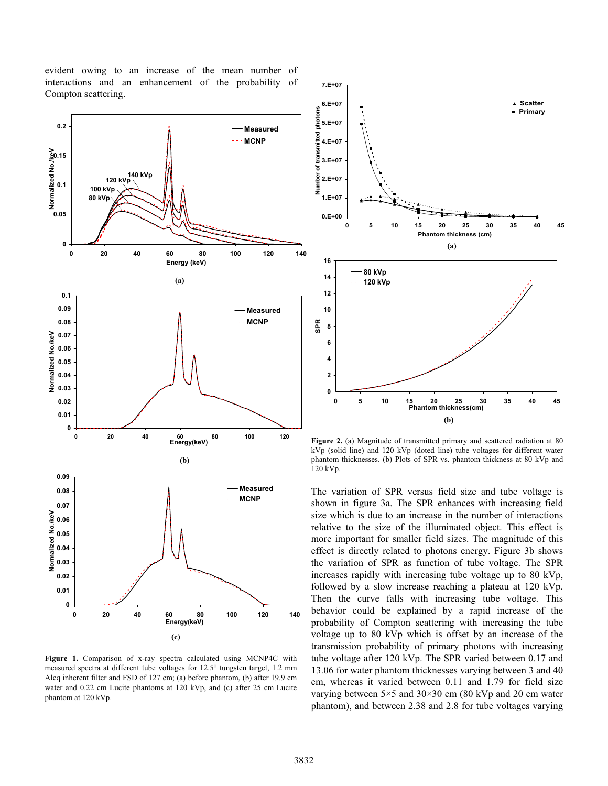evident owing to an increase of the mean number of interactions and an enhancement of the probability of Compton scattering.



**Figure 1.** Comparison of x-ray spectra calculated using MCNP4C with measured spectra at different tube voltages for 12.5° tungsten target, 1.2 mm Aleq inherent filter and FSD of 127 cm; (a) before phantom, (b) after 19.9 cm water and 0.22 cm Lucite phantoms at 120 kVp, and (c) after 25 cm Lucite phantom at 120 kVp.



**Figure 2.** (a) Magnitude of transmitted primary and scattered radiation at 80 kVp (solid line) and 120 kVp (doted line) tube voltages for different water phantom thicknesses. (b) Plots of SPR vs. phantom thickness at 80 kVp and 120 kVp.

The variation of SPR versus field size and tube voltage is shown in figure 3a. The SPR enhances with increasing field size which is due to an increase in the number of interactions relative to the size of the illuminated object. This effect is more important for smaller field sizes. The magnitude of this effect is directly related to photons energy. Figure 3b shows the variation of SPR as function of tube voltage. The SPR increases rapidly with increasing tube voltage up to 80 kVp, followed by a slow increase reaching a plateau at 120 kVp. Then the curve falls with increasing tube voltage. This behavior could be explained by a rapid increase of the probability of Compton scattering with increasing the tube voltage up to 80 kVp which is offset by an increase of the transmission probability of primary photons with increasing tube voltage after 120 kVp. The SPR varied between 0.17 and 13.06 for water phantom thicknesses varying between 3 and 40 cm, whereas it varied between 0.11 and 1.79 for field size varying between 5×5 and 30×30 cm (80 kVp and 20 cm water phantom), and between 2.38 and 2.8 for tube voltages varying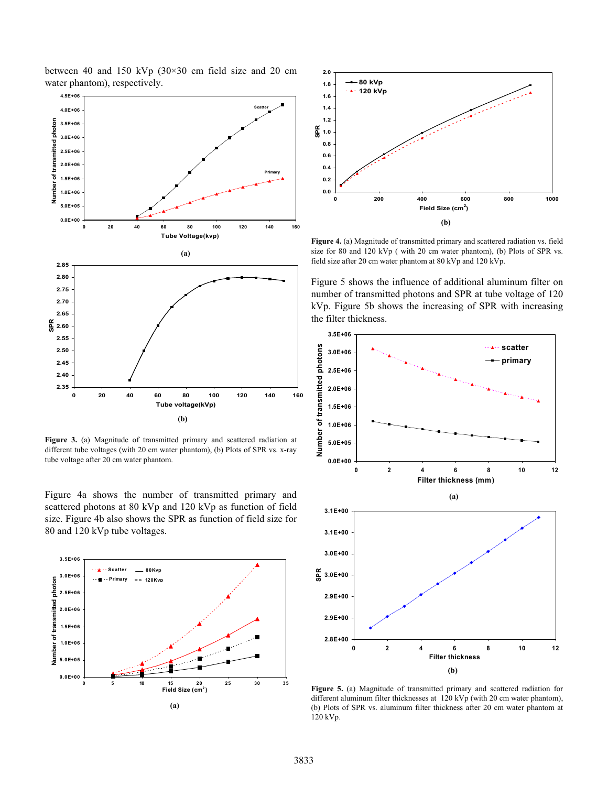

between 40 and 150 kVp (30×30 cm field size and 20 cm

**Figure 3.** (a) Magnitude of transmitted primary and scattered radiation at different tube voltages (with 20 cm water phantom), (b) Plots of SPR vs. x-ray tube voltage after 20 cm water phantom.

Figure 4a shows the number of transmitted primary and scattered photons at 80 kVp and 120 kVp as function of field size. Figure 4b also shows the SPR as function of field size for 80 and 120 kVp tube voltages.





**Figure 4.** (a) Magnitude of transmitted primary and scattered radiation vs. field size for 80 and 120 kVp ( with 20 cm water phantom), (b) Plots of SPR vs. field size after 20 cm water phantom at 80 kVp and 120 kVp.

Figure 5 shows the influence of additional aluminum filter on number of transmitted photons and SPR at tube voltage of 120 kVp. Figure 5b shows the increasing of SPR with increasing the filter thickness.



**Figure 5.** (a) Magnitude of transmitted primary and scattered radiation for different aluminum filter thicknesses at 120 kVp (with 20 cm water phantom), (b) Plots of SPR vs. aluminum filter thickness after 20 cm water phantom at 120 kVp.